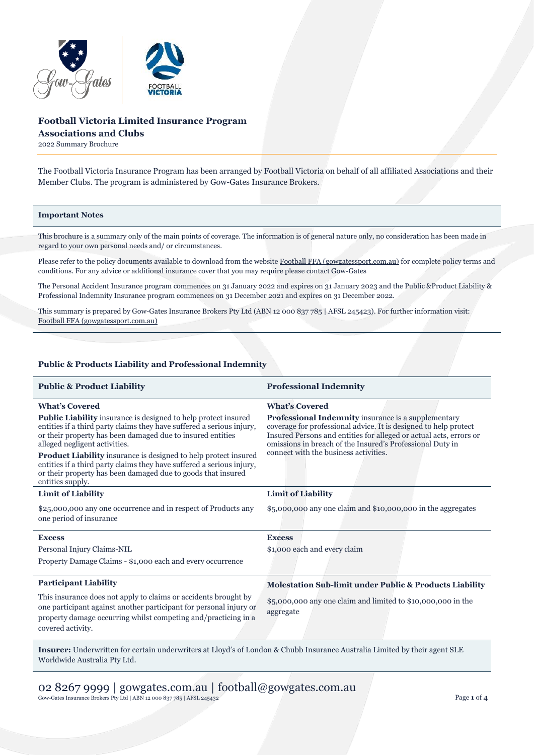

# **Football Victoria Limited Insurance Program Associations and Clubs**

2022 Summary Brochure

The Football Victoria Insurance Program has been arranged by Football Victoria on behalf of all affiliated Associations and their Member Clubs. The program is administered by Gow-Gates Insurance Brokers.

#### **Important Notes**

This brochure is a summary only of the main points of coverage. The information is of general nature only, no consideration has been made in regard to your own personal needs and/ or circumstances.

Please refer to the policy documents available to download from the websit[e Football FFA \(gowgatessport.com.au\)](https://football.gowgatessport.com.au/) for complete policy terms and conditions. For any advice or additional insurance cover that you may require please contact Gow-Gates

The Personal Accident Insurance program commences on 31 January 2022 and expires on 31 January 2023 and the Public &Product Liability & Professional Indemnity Insurance program commences on 31 December 2021 and expires on 31 December 2022.

This summary is prepared by Gow-Gates Insurance Brokers Pty Ltd (ABN 12 000 837 785 | AFSL 245423). For further information visit: [Football FFA \(gowgatessport.com.au\)](https://football.gowgatessport.com.au/)

## **Public & Products Liability and Professional Indemnity**

| <b>Public &amp; Product Liability</b>                                                                                                                                                                                                                                                                                                                                                                                                                                                                         | <b>Professional Indemnity</b>                                                                                                                                                                                                                                                                                                       |
|---------------------------------------------------------------------------------------------------------------------------------------------------------------------------------------------------------------------------------------------------------------------------------------------------------------------------------------------------------------------------------------------------------------------------------------------------------------------------------------------------------------|-------------------------------------------------------------------------------------------------------------------------------------------------------------------------------------------------------------------------------------------------------------------------------------------------------------------------------------|
| <b>What's Covered</b><br><b>Public Liability</b> insurance is designed to help protect insured<br>entities if a third party claims they have suffered a serious injury,<br>or their property has been damaged due to insured entities<br>alleged negligent activities.<br><b>Product Liability</b> insurance is designed to help protect insured<br>entities if a third party claims they have suffered a serious injury,<br>or their property has been damaged due to goods that insured<br>entities supply. | <b>What's Covered</b><br><b>Professional Indemnity</b> insurance is a supplementary<br>coverage for professional advice. It is designed to help protect<br>Insured Persons and entities for alleged or actual acts, errors or<br>omissions in breach of the Insured's Professional Duty in<br>connect with the business activities. |
| <b>Limit of Liability</b>                                                                                                                                                                                                                                                                                                                                                                                                                                                                                     | <b>Limit of Liability</b>                                                                                                                                                                                                                                                                                                           |
| \$25,000,000 any one occurrence and in respect of Products any<br>one period of insurance                                                                                                                                                                                                                                                                                                                                                                                                                     | $$5,000,000$ any one claim and $$10,000,000$ in the aggregates                                                                                                                                                                                                                                                                      |
| <b>Excess</b><br>Personal Injury Claims-NIL<br>Property Damage Claims - \$1,000 each and every occurrence                                                                                                                                                                                                                                                                                                                                                                                                     | <b>Excess</b><br>\$1,000 each and every claim                                                                                                                                                                                                                                                                                       |
| <b>Participant Liability</b><br>This insurance does not apply to claims or accidents brought by<br>one participant against another participant for personal injury or<br>property damage occurring whilst competing and/practicing in a<br>covered activity.                                                                                                                                                                                                                                                  | Molestation Sub-limit under Public & Products Liability<br>\$5,000,000 any one claim and limited to \$10,000,000 in the<br>aggregate                                                                                                                                                                                                |

**Insurer:** Underwritten for certain underwriters at Lloyd's of London & Chubb Insurance Australia Limited by their agent SLE Worldwide Australia Pty Ltd.

02 8267 9999 | gowgates.com.au | football@gowgates.com.au Gow-Gates Insurance Brokers Pty Ltd | ABN 12 000 837 785 | AFSL 245432 Page **1** of **4**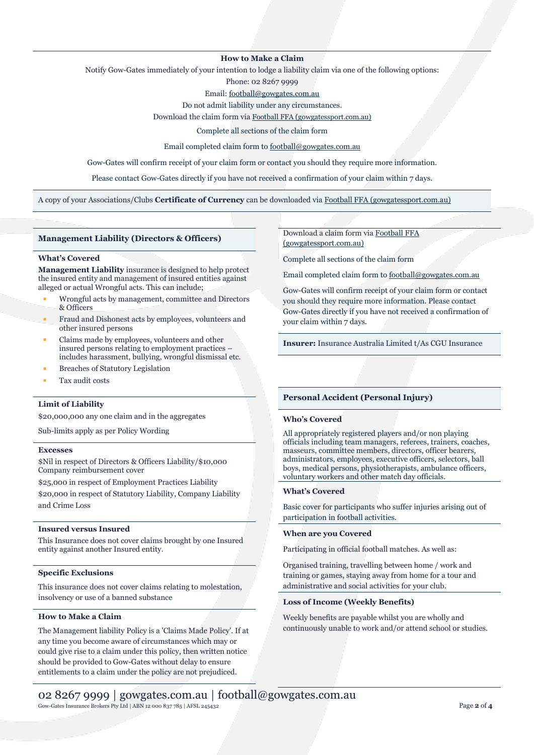## **How to Make a Claim**

Notify Gow-Gates immediately of your intention to lodge a liability claim via one of the following options:

Phone: 02 8267 9999

Email[: football@gowgates.com.au](mailto:football@gowgates.com.au)

Do not admit liability under any circumstances.

Download the claim form via [Football FFA \(gowgatessport.com.au\)](https://football.gowgatessport.com.au/)

Complete all sections of the claim form

Email completed claim form to [football@gowgates.com.au](mailto:football@gowgates.com.au)

Gow-Gates will confirm receipt of your claim form or contact you should they require more information.

Please contact Gow-Gates directly if you have not received a confirmation of your claim within 7 days.

A copy of your Associations/Clubs **Certificate of Currency** can be downloaded via [Football FFA \(gowgatessport.com.au\)](https://football.gowgatessport.com.au/)

### **Management Liability (Directors & Officers)**

#### **What's Covered**

**Management Liability** insurance is designed to help protect the insured entity and management of insured entities against alleged or actual Wrongful acts. This can include;

- Wrongful acts by management, committee and Directors & Officers
- Fraud and Dishonest acts by employees, volunteers and other insured persons
- Claims made by employees, volunteers and other insured persons relating to employment practices – includes harassment, bullying, wrongful dismissal etc.
- **Breaches of Statutory Legislation**
- Tax audit costs

## **Limit of Liability**

\$20,000,000 any one claim and in the aggregates

Sub-limits apply as per Policy Wording

### **Excesses**

\$Nil in respect of Directors & Officers Liability/\$10,000 Company reimbursement cover

\$25,000 in respect of Employment Practices Liability \$20,000 in respect of Statutory Liability, Company Liability and Crime Loss

#### **Insured versus Insured**

This Insurance does not cover claims brought by one Insured entity against another Insured entity.

### **Specific Exclusions**

This insurance does not cover claims relating to molestation, insolvency or use of a banned substance

## **How to Make a Claim**

The Management liability Policy is a 'Claims Made Policy'. If at any time you become aware of circumstances which may or could give rise to a claim under this policy, then written notice should be provided to Gow-Gates without delay to ensure entitlements to a claim under the policy are not prejudiced.

Download a claim form vi[a Football FFA](https://football.gowgatessport.com.au/)  [\(gowgatessport.com.au\)](https://football.gowgatessport.com.au/)

Complete all sections of the claim form

Email completed claim form to [football@gowgates.com.au](mailto:football@gowgates.com.au)

Gow-Gates will confirm receipt of your claim form or contact you should they require more information. Please contact Gow-Gates directly if you have not received a confirmation of your claim within 7 days.

**Insurer:** Insurance Australia Limited t/As CGU Insurance

## **Personal Accident (Personal Injury)**

#### **Who's Covered**

All appropriately registered players and/or non playing officials including team managers, referees, trainers, coaches, masseurs, committee members, directors, officer bearers, administrators, employees, executive officers, selectors, ball boys, medical persons, physiotherapists, ambulance officers, voluntary workers and other match day officials.

## **What's Covered**

Basic cover for participants who suffer injuries arising out of participation in football activities.

## **When are you Covered**

Participating in official football matches. As well as:

Organised training, travelling between home / work and training or games, staying away from home for a tour and administrative and social activities for your club.

## **Loss of Income (Weekly Benefits)**

Weekly benefits are payable whilst you are wholly and continuously unable to work and/or attend school or studies.

## 02 8267 9999 | gowgates.com.au | football@gowgates.com.au Gow-Gates Insurance Brokers Pty Ltd | ABN 12 000 837 785 | AFSL 245432 Page **2** of **4**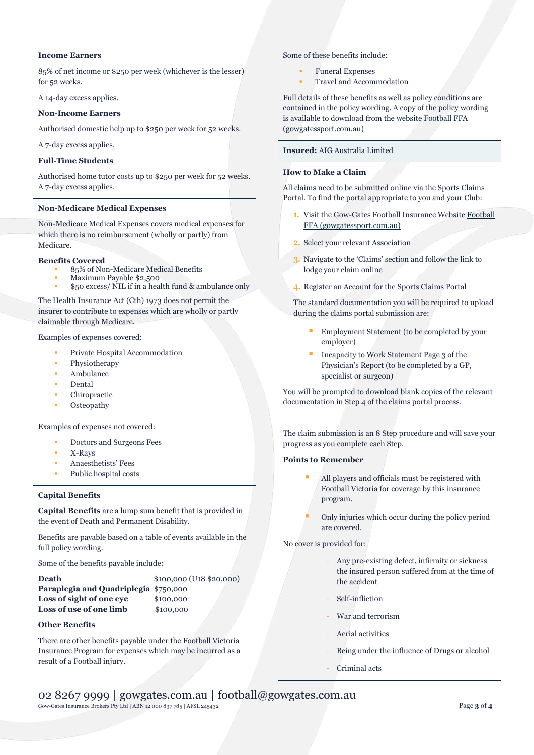# **Income Earners**

85% of net income or \$250 per week (whichever is the lesser) for 52 weeks.

A 14-day excess applies.

#### **Non-Income Earners**

Authorised domestic help up to \$250 per week for 52 weeks.

A 7-day excess applies.

## **Full-Time Students**

Authorised home tutor costs up to \$250 per week for 52 weeks. A 7-day excess applies.

#### **Non-Medicare Medical Expenses**

Non-Medicare Medical Expenses covers medical expenses for which there is no reimbursement (wholly or partly) from Medicare.

#### **Benefits Covered**

- 85% of Non-Medicare Medical Benefits
- Maximum Payable \$2,500
- \$50 excess/ NIL if in a health fund & ambulance only

The Health Insurance Act (Cth) 1973 does not permit the insurer to contribute to expenses which are wholly or partly claimable through Medicare.

Examples of expenses covered:

- Private Hospital Accommodation
- Physiotherapy
- Ambulance
- **Dental**
- Chiropractic
- **Osteopathy**

Examples of expenses not covered:

- Doctors and Surgeons Fees
- X-Rays
- Anaesthetists' Fees
- Public hospital costs

## **Capital Benefits**

**Capital Benefits** are a lump sum benefit that is provided in the event of Death and Permanent Disability.

Benefits are payable based on a table of events available in the full policy wording.

Some of the benefits payable include:

| <b>Death</b>                          | $$100,000$ (U <sub>18</sub> $$20,000$ ) |
|---------------------------------------|-----------------------------------------|
| Paraplegia and Quadriplegia \$750,000 |                                         |
| Loss of sight of one eve              | \$100,000                               |
| Loss of use of one limb               | \$100,000                               |
|                                       |                                         |

## **Other Benefits**

There are other benefits payable under the Football Victoria Insurance Program for expenses which may be incurred as a result of a Football injury.

## Some of these benefits include:

- **Funeral Expenses**
- Travel and Accommodation

Full details of these benefits as well as policy conditions are contained in the policy wording. A copy of the policy wording is available to download from the website [Football FFA](https://football.gowgatessport.com.au/)  [\(gowgatessport.com.au\)](https://football.gowgatessport.com.au/)

## **Insured:** AIG Australia Limited

# **How to Make a Claim**

All claims need to be submitted online via the Sports Claims Portal. To find the portal appropriate to you and your Club:

- **1.** Visit the Gow-Gates Football Insurance Websit[e Football](https://football.gowgatessport.com.au/)  [FFA \(gowgatessport.com.au\)](https://football.gowgatessport.com.au/)
- **2.** Select your relevant Association
- **3.** Navigate to the 'Claims' section and follow the link to lodge your claim online
- **4.** Register an Account for the Sports Claims Portal

The standard documentation you will be required to upload during the claims portal submission are:

- Employment Statement (to be completed by your employer)
- Incapacity to Work Statement Page 3 of the Physician's Report (to be completed by a GP, specialist or surgeon)

You will be prompted to download blank copies of the relevant documentation in Step 4 of the claims portal process.

The claim submission is an 8 Step procedure and will save your progress as you complete each Step.

### **Points to Remember**

- All players and officials must be registered with Football Victoria for coverage by this insurance program.
- Only injuries which occur during the policy period are covered.

No cover is provided for:

- Any pre-existing defect, infirmity or sickness the insured person suffered from at the time of the accident
- Self-infliction
- War and terrorism
- Aerial activities
- Being under the influence of Drugs or alcohol
- Criminal acts